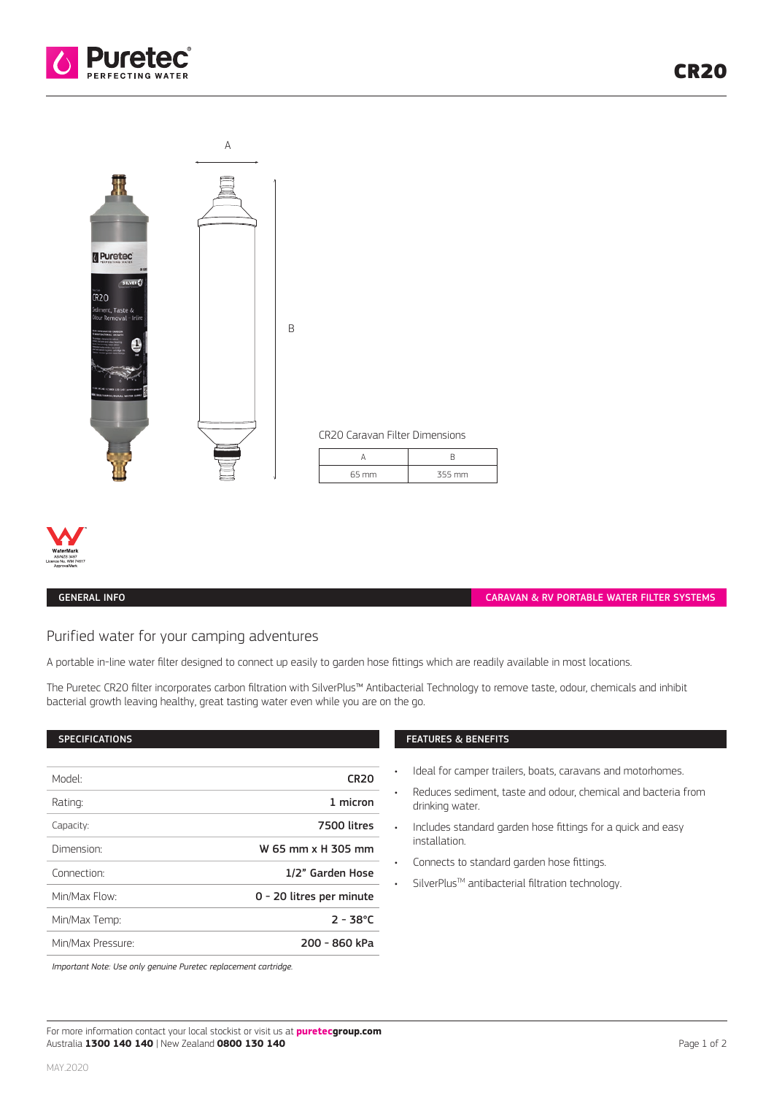





### GENERAL INFO

CARAVAN & RV PORTABLE WATER FILTER SYSTEMS

# Purified water for your camping adventures

A portable in-line water filter designed to connect up easily to garden hose fittings which are readily available in most locations.

The Puretec CR20 filter incorporates carbon filtration with SilverPlus™ Antibacterial Technology to remove taste, odour, chemicals and inhibit bacterial growth leaving healthy, great tasting water even while you are on the go.

#### SPECIFICATIONS

| Model <sup>.</sup>     | <b>CR20</b>              |
|------------------------|--------------------------|
| Rating:                | 1 micron                 |
| Capacity:              | 7500 litres              |
| Dimension <sup>.</sup> | W 65 mm x H 305 mm       |
| Connection:            | 1/2" Garden Hose         |
| Min/Max Flow:          | 0 - 20 litres per minute |
| Min/Max Temp:          | $2 - 38^{\circ}$ C       |
| Min/Max Pressure:      | 200 - 860 kPa            |
|                        |                          |

# FEATURES & BENEFITS

- Ideal for camper trailers, boats, caravans and motorhomes.
- Reduces sediment, taste and odour, chemical and bacteria from drinking water.
- Includes standard garden hose fittings for a quick and easy installation.
- Connects to standard garden hose fittings.
- SilverPlus™ antibacterial filtration technology.

*Important Note: Use only genuine Puretec replacement cartridge.*